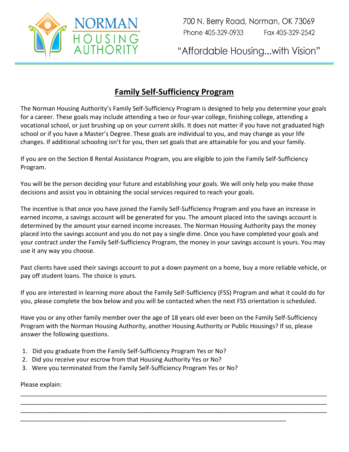

700 N. Berry Road, Norman, OK 73069 Phone 405-329-0933 Fax 405-329-2542

"Affordable Housing...with Vision"

## **Family Self-Sufficiency Program**

The Norman Housing Authority's Family Self-Sufficiency Program is designed to help you determine your goals for a career. These goals may include attending a two or four-year college, finishing college, attending a vocational school, or just brushing up on your current skills. It does not matter if you have not graduated high school or if you have a Master's Degree. These goals are individual to you, and may change as your life changes. If additional schooling isn't for you, then set goals that are attainable for you and your family.

If you are on the Section 8 Rental Assistance Program, you are eligible to join the Family Self-Sufficiency Program.

You will be the person deciding your future and establishing your goals. We will only help you make those decisions and assist you in obtaining the social services required to reach your goals.

The incentive is that once you have joined the Family Self-Sufficiency Program and you have an increase in earned income, a savings account will be generated for you. The amount placed into the savings account is determined by the amount your earned income increases. The Norman Housing Authority pays the money placed into the savings account and you do not pay a single dime. Once you have completed your goals and your contract under the Family Self-Sufficiency Program, the money in your savings account is yours. You may use it any way you choose.

Past clients have used their savings account to put a down payment on a home, buy a more reliable vehicle, or pay off student loans. The choice is yours.

If you are interested in learning more about the Family Self-Sufficiency (FSS) Program and what it could do for you, please complete the box below and you will be contacted when the next FSS orientation is scheduled.

Have you or any other family member over the age of 18 years old ever been on the Family Self-Sufficiency Program with the Norman Housing Authority, another Housing Authority or Public Housings? If so, please answer the following questions.

\_\_\_\_\_\_\_\_\_\_\_\_\_\_\_\_\_\_\_\_\_\_\_\_\_\_\_\_\_\_\_\_\_\_\_\_\_\_\_\_\_\_\_\_\_\_\_\_\_\_\_\_\_\_\_\_\_\_\_\_\_\_\_\_\_\_\_\_\_\_\_\_\_\_\_\_\_\_\_\_\_\_\_\_\_\_\_\_\_\_ \_\_\_\_\_\_\_\_\_\_\_\_\_\_\_\_\_\_\_\_\_\_\_\_\_\_\_\_\_\_\_\_\_\_\_\_\_\_\_\_\_\_\_\_\_\_\_\_\_\_\_\_\_\_\_\_\_\_\_\_\_\_\_\_\_\_\_\_\_\_\_\_\_\_\_\_\_\_\_\_\_\_\_\_\_\_\_\_\_\_ \_\_\_\_\_\_\_\_\_\_\_\_\_\_\_\_\_\_\_\_\_\_\_\_\_\_\_\_\_\_\_\_\_\_\_\_\_\_\_\_\_\_\_\_\_\_\_\_\_\_\_\_\_\_\_\_\_\_\_\_\_\_\_\_\_\_\_\_\_\_\_\_\_\_\_\_\_\_\_\_\_\_\_\_\_\_\_\_\_\_

\_\_\_\_\_\_\_\_\_\_\_\_\_\_\_\_\_\_\_\_\_\_\_\_\_\_\_\_\_\_\_\_\_\_\_\_\_\_\_\_\_\_\_\_\_\_\_\_\_\_\_\_\_\_\_\_\_\_\_\_\_\_\_\_\_\_\_\_\_\_\_\_\_\_\_\_\_\_

- 1. Did you graduate from the Family Self-Sufficiency Program Yes or No?
- 2. Did you receive your escrow from that Housing Authority Yes or No?
- 3. Were you terminated from the Family Self-Sufficiency Program Yes or No?

Please explain: